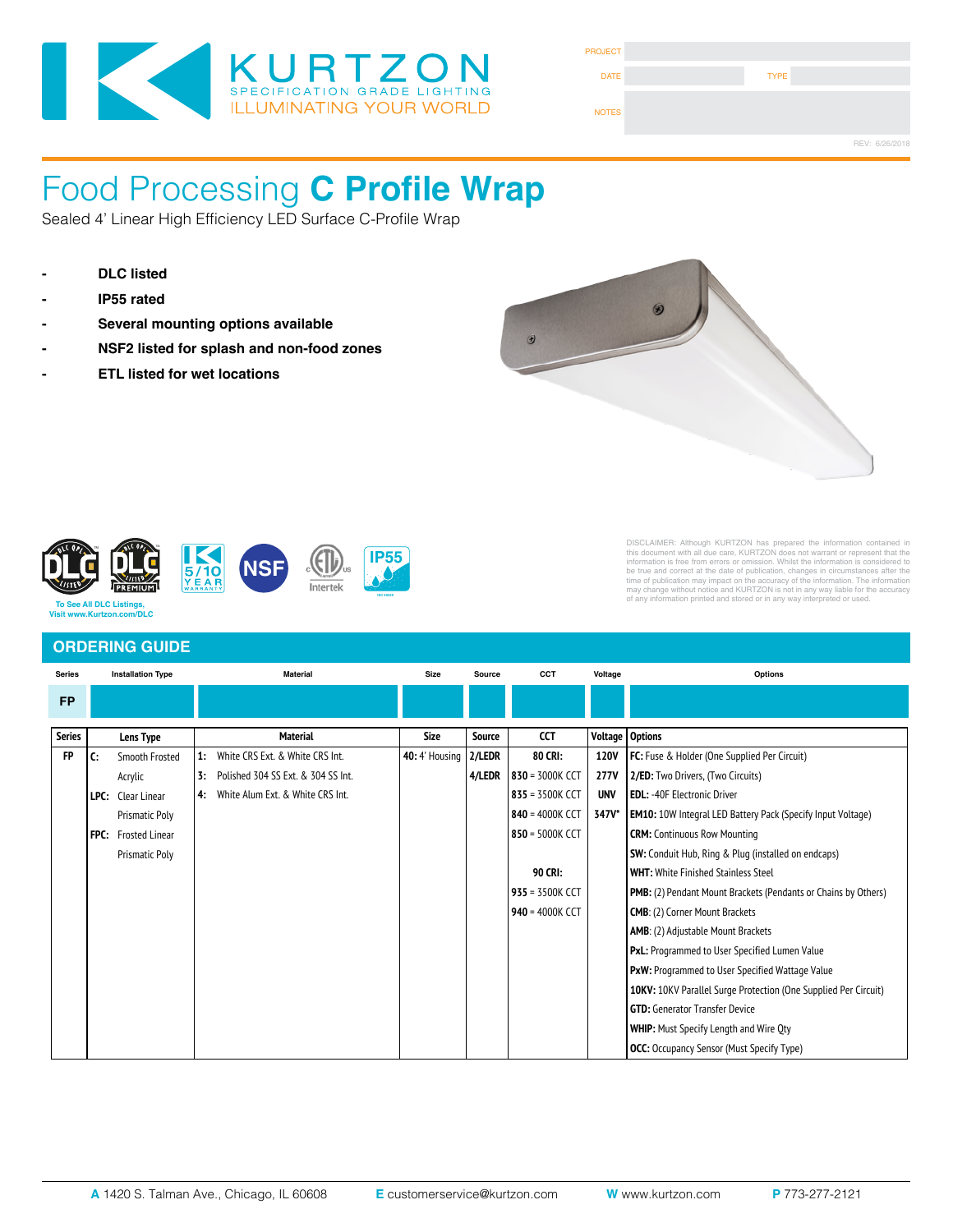

| <b>PROJECT</b> |             |                |
|----------------|-------------|----------------|
| <b>DATE</b>    | <b>TYPE</b> |                |
| <b>NOTES</b>   |             |                |
|                |             | REV: 6/26/2018 |

## Food Processing **C Profile Wrap** Certified for ISO 3-9, 209E Class 1-100,000 Cleanspaces. IP66 Rating

Sealed 4' Linear High Efficiency LED Surface C-Profile Wrap

- **DLC listed**
- **IP55 rated**
- 
- **Example 1** NSF2 listed for splash and non-food zones
- 



Fixture Type



# DISCLAIMER: Although KURTZON has prepared the information contained in<br>this document with all due care, KURTZON does not warrant or represent that the<br>information is free from errors or omission. Whilst the information is

### **ORDERING GUIDE**

*Kurtzon.com* 

| <b>Series</b> | <b>Installation Type</b> |                            |    | <b>Material</b>                     | <b>Size</b>           | CCT<br>Source |                          | Voltage        | Options                                                                |  |  |
|---------------|--------------------------|----------------------------|----|-------------------------------------|-----------------------|---------------|--------------------------|----------------|------------------------------------------------------------------------|--|--|
| <b>FP</b>     |                          |                            |    |                                     |                       |               |                          |                |                                                                        |  |  |
|               |                          |                            |    |                                     |                       |               |                          |                |                                                                        |  |  |
| <b>Series</b> |                          | Lens Type                  |    | <b>Material</b>                     | <b>Size</b>           | Source        | CCT                      | <b>Voltage</b> | Options                                                                |  |  |
| <b>FP</b>     | C:                       | Smooth Frosted             | 1: | White CRS Ext. & White CRS Int.     | <b>40:</b> 4' Housing | 2/LEDR        | 80 CRI:                  | 120V           | FC: Fuse & Holder (One Supplied Per Circuit)                           |  |  |
|               |                          | Acrylic                    | 3: | Polished 304 SS Ext. & 304 SS Int.  |                       |               | 4/LEDR   830 = 3000K CCT | <b>277V</b>    | 2/ED: Two Drivers, (Two Circuits)                                      |  |  |
|               |                          | <b>LPC:</b> Clear Linear   |    | 4: White Alum Ext. & White CRS Int. |                       |               | 835 = 3500K CCT          | <b>UNV</b>     | <b>EDL:</b> -40F Electronic Driver                                     |  |  |
|               |                          | <b>Prismatic Poly</b>      |    |                                     |                       |               | 840 = 4000K CCT          | 347V*          | <b>EM10:</b> 10W Integral LED Battery Pack (Specify Input Voltage)     |  |  |
|               |                          | <b>FPC:</b> Frosted Linear |    |                                     |                       |               | 850 = 5000K CCT          |                | <b>CRM:</b> Continuous Row Mounting                                    |  |  |
|               |                          | <b>Prismatic Poly</b>      |    |                                     |                       |               |                          |                | <b>SW:</b> Conduit Hub, Ring & Plug (installed on endcaps)             |  |  |
|               |                          |                            |    |                                     |                       |               | 90 CRI:                  |                | <b>WHT: White Finished Stainless Steel</b>                             |  |  |
|               |                          |                            |    |                                     |                       |               | 935 = 3500K CCT          |                | <b>PMB:</b> (2) Pendant Mount Brackets (Pendants or Chains by Others)  |  |  |
|               |                          |                            |    |                                     |                       |               | 940 = 4000K CCT          |                | <b>CMB: (2) Corner Mount Brackets</b>                                  |  |  |
|               |                          |                            |    |                                     |                       |               |                          |                | <b>AMB:</b> (2) Adjustable Mount Brackets                              |  |  |
|               |                          |                            |    |                                     |                       |               |                          |                | <b>PxL:</b> Programmed to User Specified Lumen Value                   |  |  |
|               |                          |                            |    |                                     |                       |               |                          |                | <b>PxW:</b> Programmed to User Specified Wattage Value                 |  |  |
|               |                          |                            |    |                                     |                       |               |                          |                | <b>10KV:</b> 10KV Parallel Surge Protection (One Supplied Per Circuit) |  |  |
|               |                          |                            |    |                                     |                       |               |                          |                | <b>GTD: Generator Transfer Device</b>                                  |  |  |
|               |                          |                            |    |                                     |                       |               |                          |                | <b>WHIP:</b> Must Specify Length and Wire Qty                          |  |  |
|               |                          |                            |    |                                     |                       |               |                          |                | <b>OCC:</b> Occupancy Sensor (Must Specify Type)                       |  |  |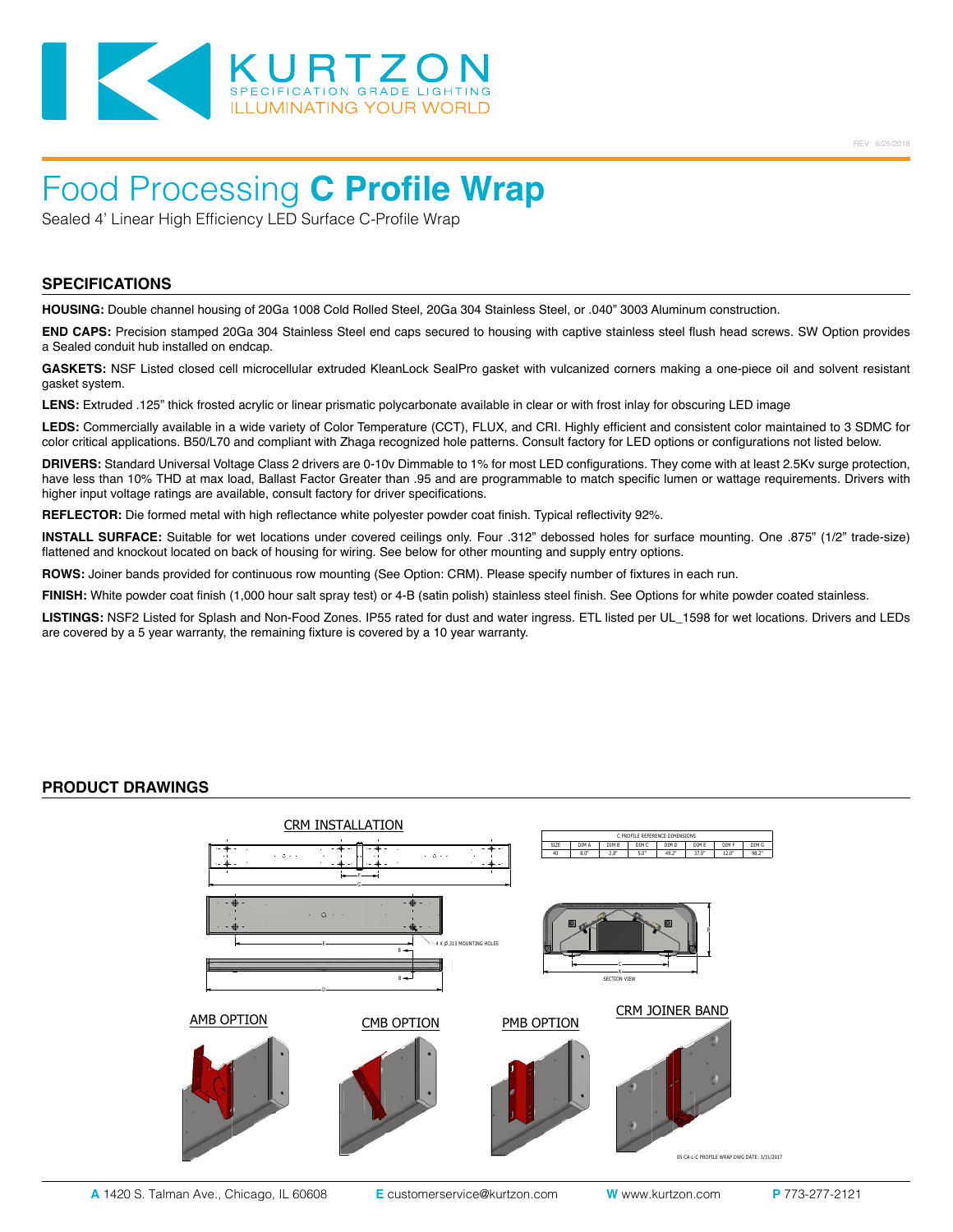

# Food Processing **C Profile Wrap**

Sealed 4' Linear High Efficiency LED Surface C-Profile Wrap

#### **SPECIFICATIONS**

**HOUSING:** Double channel housing of 20Ga 1008 Cold Rolled Steel, 20Ga 304 Stainless Steel, or .040" 3003 Aluminum construction.

**END CAPS:** Precision stamped 20Ga 304 Stainless Steel end caps secured to housing with captive stainless steel flush head screws. SW Option provides a Sealed conduit hub installed on endcap.

**GASKETS:** NSF Listed closed cell microcellular extruded KleanLock SealPro gasket with vulcanized corners making a one-piece oil and solvent resistant gasket system.

LENS: Extruded .125" thick frosted acrylic or linear prismatic polycarbonate available in clear or with frost inlay for obscuring LED image

**LEDS:** Commercially available in a wide variety of Color Temperature (CCT), FLUX, and CRI. Highly efficient and consistent color maintained to 3 SDMC for color critical applications. B50/L70 and compliant with Zhaga recognized hole patterns. Consult factory for LED options or configurations not listed below.

**DRIVERS:** Standard Universal Voltage Class 2 drivers are 0-10v Dimmable to 1% for most LED configurations. They come with at least 2.5Kv surge protection, have less than 10% THD at max load, Ballast Factor Greater than .95 and are programmable to match specific lumen or wattage requirements. Drivers with higher input voltage ratings are available, consult factory for driver specifications.

**REFLECTOR:** Die formed metal with high reflectance white polyester powder coat finish. Typical reflectivity 92%.

**INSTALL SURFACE:** Suitable for wet locations under covered ceilings only. Four .312" debossed holes for surface mounting. One .875" (1/2" trade-size) flattened and knockout located on back of housing for wiring. See below for other mounting and supply entry options.

**ROWS:** Joiner bands provided for continuous row mounting (See Option: CRM). Please specify number of fixtures in each run.

**FINISH:** White powder coat finish (1,000 hour salt spray test) or 4-B (satin polish) stainless steel finish. See Options for white powder coated stainless.

**LISTINGS:** NSF2 Listed for Splash and Non-Food Zones. IP55 rated for dust and water ingress. ETL listed per UL\_1598 for wet locations. Drivers and LEDs are covered by a 5 year warranty, the remaining fixture is covered by a 10 year warranty.

#### **PRODUCT DRAWINGS**